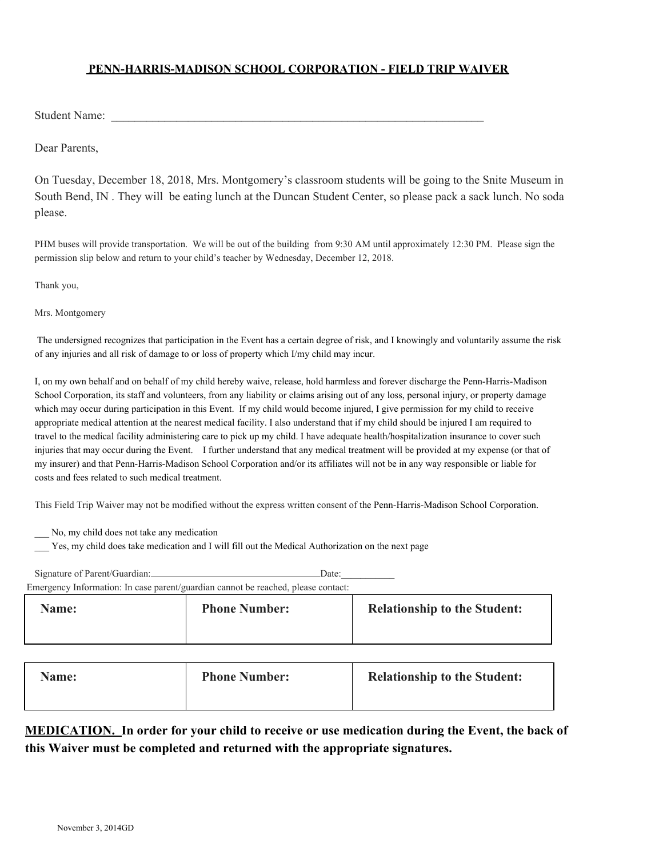## **PENN-HARRIS-MADISON SCHOOL CORPORATION - FIELD TRIP WAIVER**

Student Name:

Dear Parents,

On Tuesday, December 18, 2018, Mrs. Montgomery's classroom students will be going to the Snite Museum in South Bend, IN . They will be eating lunch at the Duncan Student Center, so please pack a sack lunch. No soda please.

PHM buses will provide transportation. We will be out of the building from 9:30 AM until approximately 12:30 PM. Please sign the permission slip below and return to your child's teacher by Wednesday, December 12, 2018.

Thank you,

Mrs. Montgomery

 The undersigned recognizes that participation in the Event has a certain degree of risk, and I knowingly and voluntarily assume the risk of any injuries and all risk of damage to or loss of property which I/my child may incur.

I, on my own behalf and on behalf of my child hereby waive, release, hold harmless and forever discharge the Penn-Harris-Madison School Corporation, its staff and volunteers, from any liability or claims arising out of any loss, personal injury, or property damage which may occur during participation in this Event. If my child would become injured, I give permission for my child to receive appropriate medical attention at the nearest medical facility. I also understand that if my child should be injured I am required to travel to the medical facility administering care to pick up my child. I have adequate health/hospitalization insurance to cover such injuries that may occur during the Event. I further understand that any medical treatment will be provided at my expense (or that of my insurer) and that Penn-Harris-Madison School Corporation and/or its affiliates will not be in any way responsible or liable for costs and fees related to such medical treatment.

This Field Trip Waiver may not be modified without the express written consent of the Penn-Harris-Madison School Corporation.

\_\_\_ No, my child does not take any medication

\_\_\_ Yes, my child does take medication and I will fill out the Medical Authorization on the next page

| Signature of Parent/Guardian:                                                     | Date:                |                                     |  |  |  |  |  |
|-----------------------------------------------------------------------------------|----------------------|-------------------------------------|--|--|--|--|--|
| Emergency Information: In case parent/guardian cannot be reached, please contact: |                      |                                     |  |  |  |  |  |
| <b>Name:</b>                                                                      | <b>Phone Number:</b> | <b>Relationship to the Student:</b> |  |  |  |  |  |

| Name: | <b>Phone Number:</b> | <b>Relationship to the Student:</b> |
|-------|----------------------|-------------------------------------|
|-------|----------------------|-------------------------------------|

## **MEDICATION. In order for your child to receive or use medication during the Event, the back of this Waiver must be completed and returned with the appropriate signatures.**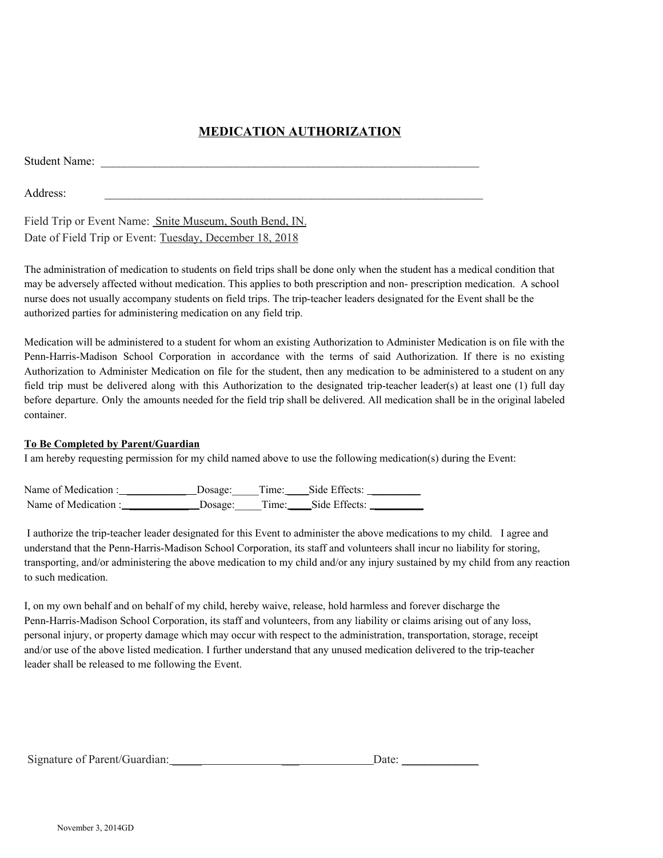## **MEDICATION AUTHORIZATION**

| <b>Student Name:</b> |  |  |  |
|----------------------|--|--|--|
| Address:             |  |  |  |

Field Trip or Event Name: Snite Museum, South Bend, IN. Date of Field Trip or Event: Tuesday, December 18, 2018

The administration of medication to students on field trips shall be done only when the student has a medical condition that may be adversely affected without medication. This applies to both prescription and non- prescription medication. A school nurse does not usually accompany students on field trips. The trip-teacher leaders designated for the Event shall be the authorized parties for administering medication on any field trip.

Medication will be administered to a student for whom an existing Authorization to Administer Medication is on file with the Penn-Harris-Madison School Corporation in accordance with the terms of said Authorization. If there is no existing Authorization to Administer Medication on file for the student, then any medication to be administered to a student on any field trip must be delivered along with this Authorization to the designated trip-teacher leader(s) at least one (1) full day before departure. Only the amounts needed for the field trip shall be delivered. All medication shall be in the original labeled container.

## **To Be Completed by Parent/Guardian**

I am hereby requesting permission for my child named above to use the following medication(s) during the Event:

Name of Medication : \_\_\_\_\_\_\_\_\_\_\_\_\_\_\_\_ Dosage: Time: \_\_\_\_\_Side Effects: \_\_\_\_\_\_\_\_\_ Name of Medication : \_\_\_\_\_\_\_\_\_\_\_\_\_\_\_ Dosage: Time: \_\_\_\_\_Side Effects: \_\_\_\_\_\_\_\_\_\_

I authorize the trip-teacher leader designated for this Event to administer the above medications to my child. I agree and understand that the Penn-Harris-Madison School Corporation, its staff and volunteers shall incur no liability for storing, transporting, and/or administering the above medication to my child and/or any injury sustained by my child from any reaction to such medication.

I, on my own behalf and on behalf of my child, hereby waive, release, hold harmless and forever discharge the Penn-Harris-Madison School Corporation, its staff and volunteers, from any liability or claims arising out of any loss, personal injury, or property damage which may occur with respect to the administration, transportation, storage, receipt and/or use of the above listed medication. I further understand that any unused medication delivered to the trip-teacher leader shall be released to me following the Event.

| Signature of Parent/Guardian: | Date <sup>.</sup> |
|-------------------------------|-------------------|
|                               |                   |